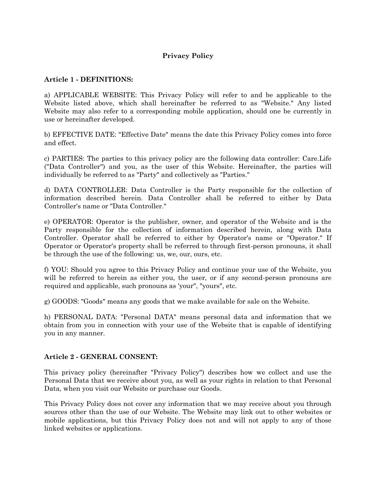## **Privacy Policy**

#### **Article 1 - DEFINITIONS:**

a) APPLICABLE WEBSITE: This Privacy Policy will refer to and be applicable to the Website listed above, which shall hereinafter be referred to as "Website." Any listed Website may also refer to a corresponding mobile application, should one be currently in use or hereinafter developed.

b) EFFECTIVE DATE: "Effective Date" means the date this Privacy Policy comes into force and effect.

c) PARTIES: The parties to this privacy policy are the following data controller: Care.Life ("Data Controller") and you, as the user of this Website. Hereinafter, the parties will individually be referred to as "Party" and collectively as "Parties."

d) DATA CONTROLLER: Data Controller is the Party responsible for the collection of information described herein. Data Controller shall be referred to either by Data Controller's name or "Data Controller."

e) OPERATOR: Operator is the publisher, owner, and operator of the Website and is the Party responsible for the collection of information described herein, along with Data Controller. Operator shall be referred to either by Operator's name or "Operator." If Operator or Operator's property shall be referred to through first-person pronouns, it shall be through the use of the following: us, we, our, ours, etc.

f) YOU: Should you agree to this Privacy Policy and continue your use of the Website, you will be referred to herein as either you, the user, or if any second-person pronouns are required and applicable, such pronouns as 'your", "yours", etc.

g) GOODS: "Goods" means any goods that we make available for sale on the Website.

h) PERSONAL DATA: "Personal DATA" means personal data and information that we obtain from you in connection with your use of the Website that is capable of identifying you in any manner.

#### **Article 2 - GENERAL CONSENT:**

This privacy policy (hereinafter "Privacy Policy") describes how we collect and use the Personal Data that we receive about you, as well as your rights in relation to that Personal Data, when you visit our Website or purchase our Goods.

This Privacy Policy does not cover any information that we may receive about you through sources other than the use of our Website. The Website may link out to other websites or mobile applications, but this Privacy Policy does not and will not apply to any of those linked websites or applications.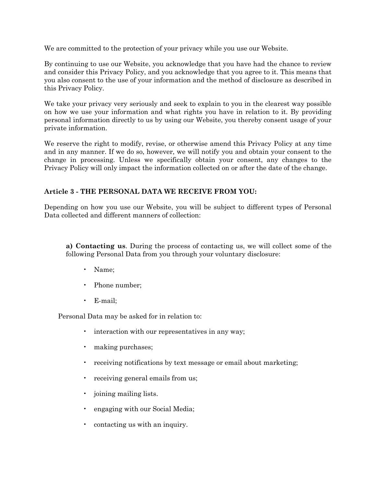We are committed to the protection of your privacy while you use our Website.

By continuing to use our Website, you acknowledge that you have had the chance to review and consider this Privacy Policy, and you acknowledge that you agree to it. This means that you also consent to the use of your information and the method of disclosure as described in this Privacy Policy.

We take your privacy very seriously and seek to explain to you in the clearest way possible on how we use your information and what rights you have in relation to it. By providing personal information directly to us by using our Website, you thereby consent usage of your private information.

We reserve the right to modify, revise, or otherwise amend this Privacy Policy at any time and in any manner. If we do so, however, we will notify you and obtain your consent to the change in processing. Unless we specifically obtain your consent, any changes to the Privacy Policy will only impact the information collected on or after the date of the change.

### **Article 3 - THE PERSONAL DATA WE RECEIVE FROM YOU:**

Depending on how you use our Website, you will be subject to different types of Personal Data collected and different manners of collection:

**a) Contacting us**. During the process of contacting us, we will collect some of the following Personal Data from you through your voluntary disclosure:

- Name;
- Phone number;
- E-mail;

Personal Data may be asked for in relation to:

- interaction with our representatives in any way;
- making purchases;
- receiving notifications by text message or email about marketing;
- receiving general emails from us;
- joining mailing lists.
- engaging with our Social Media;
- contacting us with an inquiry.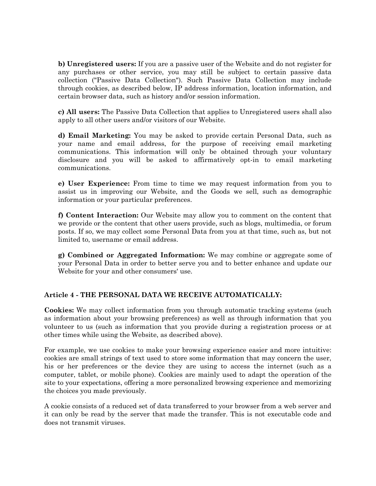**b) Unregistered users:** If you are a passive user of the Website and do not register for any purchases or other service, you may still be subject to certain passive data collection ("Passive Data Collection"). Such Passive Data Collection may include through cookies, as described below, IP address information, location information, and certain browser data, such as history and/or session information.

**c) All users:** The Passive Data Collection that applies to Unregistered users shall also apply to all other users and/or visitors of our Website.

**d) Email Marketing:** You may be asked to provide certain Personal Data, such as your name and email address, for the purpose of receiving email marketing communications. This information will only be obtained through your voluntary disclosure and you will be asked to affirmatively opt-in to email marketing communications.

**e) User Experience:** From time to time we may request information from you to assist us in improving our Website, and the Goods we sell, such as demographic information or your particular preferences.

**f) Content Interaction:** Our Website may allow you to comment on the content that we provide or the content that other users provide, such as blogs, multimedia, or forum posts. If so, we may collect some Personal Data from you at that time, such as, but not limited to, username or email address.

**g) Combined or Aggregated Information:** We may combine or aggregate some of your Personal Data in order to better serve you and to better enhance and update our Website for your and other consumers' use.

# **Article 4 - THE PERSONAL DATA WE RECEIVE AUTOMATICALLY:**

**Cookies:** We may collect information from you through automatic tracking systems (such as information about your browsing preferences) as well as through information that you volunteer to us (such as information that you provide during a registration process or at other times while using the Website, as described above).

For example, we use cookies to make your browsing experience easier and more intuitive: cookies are small strings of text used to store some information that may concern the user, his or her preferences or the device they are using to access the internet (such as a computer, tablet, or mobile phone). Cookies are mainly used to adapt the operation of the site to your expectations, offering a more personalized browsing experience and memorizing the choices you made previously.

A cookie consists of a reduced set of data transferred to your browser from a web server and it can only be read by the server that made the transfer. This is not executable code and does not transmit viruses.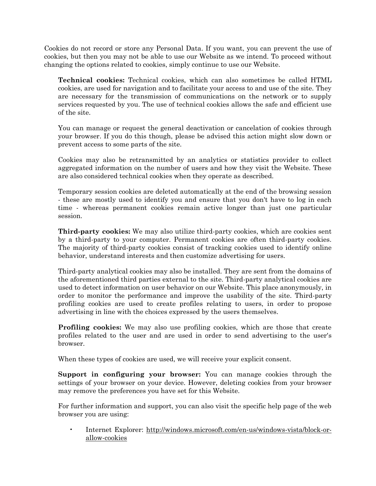Cookies do not record or store any Personal Data. If you want, you can prevent the use of cookies, but then you may not be able to use our Website as we intend. To proceed without changing the options related to cookies, simply continue to use our Website.

**Technical cookies:** Technical cookies, which can also sometimes be called HTML cookies, are used for navigation and to facilitate your access to and use of the site. They are necessary for the transmission of communications on the network or to supply services requested by you. The use of technical cookies allows the safe and efficient use of the site.

You can manage or request the general deactivation or cancelation of cookies through your browser. If you do this though, please be advised this action might slow down or prevent access to some parts of the site.

Cookies may also be retransmitted by an analytics or statistics provider to collect aggregated information on the number of users and how they visit the Website. These are also considered technical cookies when they operate as described.

Temporary session cookies are deleted automatically at the end of the browsing session - these are mostly used to identify you and ensure that you don't have to log in each time - whereas permanent cookies remain active longer than just one particular session.

**Third-party cookies:** We may also utilize third-party cookies, which are cookies sent by a third-party to your computer. Permanent cookies are often third-party cookies. The majority of third-party cookies consist of tracking cookies used to identify online behavior, understand interests and then customize advertising for users.

Third-party analytical cookies may also be installed. They are sent from the domains of the aforementioned third parties external to the site. Third-party analytical cookies are used to detect information on user behavior on our Website. This place anonymously, in order to monitor the performance and improve the usability of the site. Third-party profiling cookies are used to create profiles relating to users, in order to propose advertising in line with the choices expressed by the users themselves.

**Profiling cookies:** We may also use profiling cookies, which are those that create profiles related to the user and are used in order to send advertising to the user's browser.

When these types of cookies are used, we will receive your explicit consent.

**Support in configuring your browser:** You can manage cookies through the settings of your browser on your device. However, deleting cookies from your browser may remove the preferences you have set for this Website.

For further information and support, you can also visit the specific help page of the web browser you are using:

• Internet Explorer: [http://windows.microsoft.com/en-us/windows-vista/block-or](http://windows.microsoft.com/en-us/windows-vista/block-or-allow-cookies)[allow-cookies](http://windows.microsoft.com/en-us/windows-vista/block-or-allow-cookies)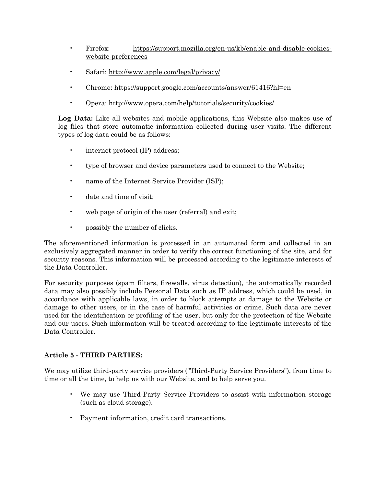- Firefox: [https://support.mozilla.org/en-us/kb/enable-and-disable-cookies](https://support.mozilla.org/en-us/kb/enable-and-disable-cookies-website-preferences)[website-preferences](https://support.mozilla.org/en-us/kb/enable-and-disable-cookies-website-preferences)
- Safari:<http://www.apple.com/legal/privacy/>
- Chrome:<https://support.google.com/accounts/answer/61416?hl=en>
- Opera:<http://www.opera.com/help/tutorials/security/cookies/>

**Log Data:** Like all websites and mobile applications, this Website also makes use of log files that store automatic information collected during user visits. The different types of log data could be as follows:

- internet protocol (IP) address;
- type of browser and device parameters used to connect to the Website;
- name of the Internet Service Provider (ISP);
- date and time of visit:
- web page of origin of the user (referral) and exit;
- possibly the number of clicks.

The aforementioned information is processed in an automated form and collected in an exclusively aggregated manner in order to verify the correct functioning of the site, and for security reasons. This information will be processed according to the legitimate interests of the Data Controller.

For security purposes (spam filters, firewalls, virus detection), the automatically recorded data may also possibly include Personal Data such as IP address, which could be used, in accordance with applicable laws, in order to block attempts at damage to the Website or damage to other users, or in the case of harmful activities or crime. Such data are never used for the identification or profiling of the user, but only for the protection of the Website and our users. Such information will be treated according to the legitimate interests of the Data Controller.

# **Article 5 - THIRD PARTIES:**

We may utilize third-party service providers ("Third-Party Service Providers"), from time to time or all the time, to help us with our Website, and to help serve you.

- We may use Third-Party Service Providers to assist with information storage (such as cloud storage).
- Payment information, credit card transactions.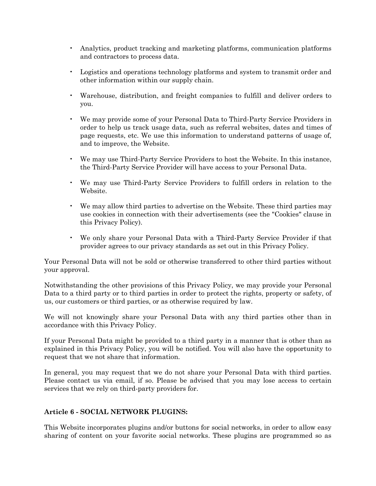- Analytics, product tracking and marketing platforms, communication platforms and contractors to process data.
- Logistics and operations technology platforms and system to transmit order and other information within our supply chain.
- Warehouse, distribution, and freight companies to fulfill and deliver orders to you.
- We may provide some of your Personal Data to Third-Party Service Providers in order to help us track usage data, such as referral websites, dates and times of page requests, etc. We use this information to understand patterns of usage of, and to improve, the Website.
- We may use Third-Party Service Providers to host the Website. In this instance, the Third-Party Service Provider will have access to your Personal Data.
- We may use Third-Party Service Providers to fulfill orders in relation to the Website.
- We may allow third parties to advertise on the Website. These third parties may use cookies in connection with their advertisements (see the "Cookies" clause in this Privacy Policy).
- We only share your Personal Data with a Third-Party Service Provider if that provider agrees to our privacy standards as set out in this Privacy Policy.

Your Personal Data will not be sold or otherwise transferred to other third parties without your approval.

Notwithstanding the other provisions of this Privacy Policy, we may provide your Personal Data to a third party or to third parties in order to protect the rights, property or safety, of us, our customers or third parties, or as otherwise required by law.

We will not knowingly share your Personal Data with any third parties other than in accordance with this Privacy Policy.

If your Personal Data might be provided to a third party in a manner that is other than as explained in this Privacy Policy, you will be notified. You will also have the opportunity to request that we not share that information.

In general, you may request that we do not share your Personal Data with third parties. Please contact us via email, if so. Please be advised that you may lose access to certain services that we rely on third-party providers for.

# **Article 6 - SOCIAL NETWORK PLUGINS:**

This Website incorporates plugins and/or buttons for social networks, in order to allow easy sharing of content on your favorite social networks. These plugins are programmed so as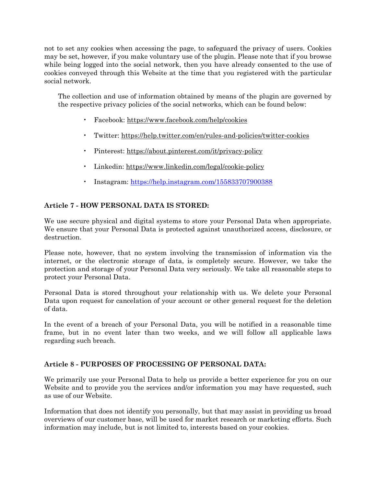not to set any cookies when accessing the page, to safeguard the privacy of users. Cookies may be set, however, if you make voluntary use of the plugin. Please note that if you browse while being logged into the social network, then you have already consented to the use of cookies conveyed through this Website at the time that you registered with the particular social network.

The collection and use of information obtained by means of the plugin are governed by the respective privacy policies of the social networks, which can be found below:

- Facebook:<https://www.facebook.com/help/cookies>
- Twitter:<https://help.twitter.com/en/rules-and-policies/twitter-cookies>
- Pinterest:<https://about.pinterest.com/it/privacy-policy>
- Linkedin:<https://www.linkedin.com/legal/cookie-policy>
- Instagram:<https://help.instagram.com/155833707900388>

### **Article 7 - HOW PERSONAL DATA IS STORED:**

We use secure physical and digital systems to store your Personal Data when appropriate. We ensure that your Personal Data is protected against unauthorized access, disclosure, or destruction.

Please note, however, that no system involving the transmission of information via the internet, or the electronic storage of data, is completely secure. However, we take the protection and storage of your Personal Data very seriously. We take all reasonable steps to protect your Personal Data.

Personal Data is stored throughout your relationship with us. We delete your Personal Data upon request for cancelation of your account or other general request for the deletion of data.

In the event of a breach of your Personal Data, you will be notified in a reasonable time frame, but in no event later than two weeks, and we will follow all applicable laws regarding such breach.

### **Article 8 - PURPOSES OF PROCESSING OF PERSONAL DATA:**

We primarily use your Personal Data to help us provide a better experience for you on our Website and to provide you the services and/or information you may have requested, such as use of our Website.

Information that does not identify you personally, but that may assist in providing us broad overviews of our customer base, will be used for market research or marketing efforts. Such information may include, but is not limited to, interests based on your cookies.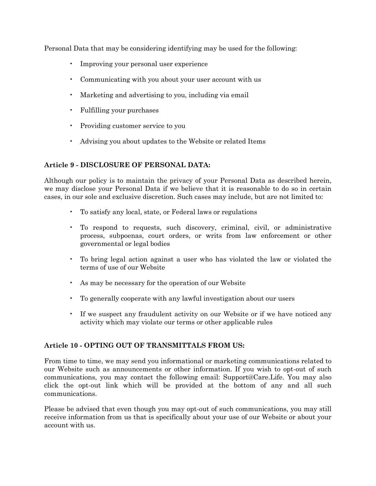Personal Data that may be considering identifying may be used for the following:

- Improving your personal user experience
- Communicating with you about your user account with us
- Marketing and advertising to you, including via email
- Fulfilling your purchases
- Providing customer service to you
- Advising you about updates to the Website or related Items

### **Article 9 - DISCLOSURE OF PERSONAL DATA:**

Although our policy is to maintain the privacy of your Personal Data as described herein, we may disclose your Personal Data if we believe that it is reasonable to do so in certain cases, in our sole and exclusive discretion. Such cases may include, but are not limited to:

- To satisfy any local, state, or Federal laws or regulations
- To respond to requests, such discovery, criminal, civil, or administrative process, subpoenas, court orders, or writs from law enforcement or other governmental or legal bodies
- To bring legal action against a user who has violated the law or violated the terms of use of our Website
- As may be necessary for the operation of our Website
- To generally cooperate with any lawful investigation about our users
- If we suspect any fraudulent activity on our Website or if we have noticed any activity which may violate our terms or other applicable rules

### **Article 10 - OPTING OUT OF TRANSMITTALS FROM US:**

From time to time, we may send you informational or marketing communications related to our Website such as announcements or other information. If you wish to opt-out of such communications, you may contact the following email: Support@Care.Life. You may also click the opt-out link which will be provided at the bottom of any and all such communications.

Please be advised that even though you may opt-out of such communications, you may still receive information from us that is specifically about your use of our Website or about your account with us.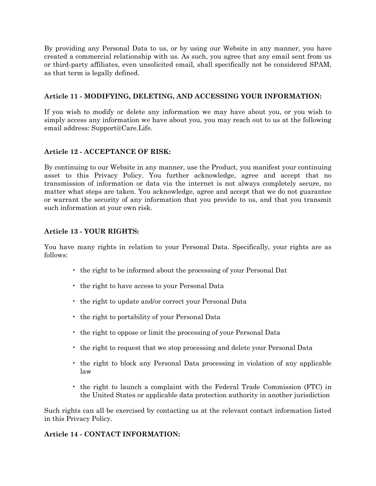By providing any Personal Data to us, or by using our Website in any manner, you have created a commercial relationship with us. As such, you agree that any email sent from us or third-party affiliates, even unsolicited email, shall specifically not be considered SPAM, as that term is legally defined.

# **Article 11 - MODIFYING, DELETING, AND ACCESSING YOUR INFORMATION:**

If you wish to modify or delete any information we may have about you, or you wish to simply access any information we have about you, you may reach out to us at the following email address: Support@Care.Life.

### **Article 12 - ACCEPTANCE OF RISK:**

By continuing to our Website in any manner, use the Product, you manifest your continuing asset to this Privacy Policy. You further acknowledge, agree and accept that no transmission of information or data via the internet is not always completely secure, no matter what steps are taken. You acknowledge, agree and accept that we do not guarantee or warrant the security of any information that you provide to us, and that you transmit such information at your own risk.

### **Article 13 - YOUR RIGHTS:**

You have many rights in relation to your Personal Data. Specifically, your rights are as follows:

- the right to be informed about the processing of your Personal Dat
- the right to have access to your Personal Data
- the right to update and/or correct your Personal Data
- the right to portability of your Personal Data
- the right to oppose or limit the processing of your Personal Data
- the right to request that we stop processing and delete your Personal Data
- the right to block any Personal Data processing in violation of any applicable law
- the right to launch a complaint with the Federal Trade Commission (FTC) in the United States or applicable data protection authority in another jurisdiction

Such rights can all be exercised by contacting us at the relevant contact information listed in this Privacy Policy.

### **Article 14 - CONTACT INFORMATION:**